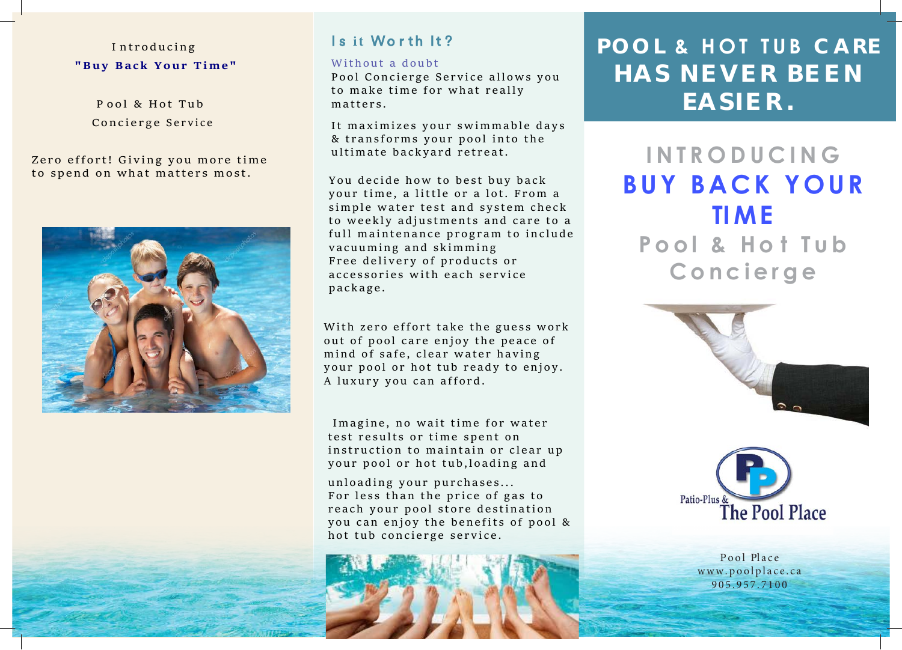# I ntroducing **"Buy Back Your Time"**

P ool & Hot Tub Concierge Service

Zero effort! Giving you more time to spend on what matters most.



# Is it Worth It?

#### Without a doubt

Pool Concierge Service allows you to make time for what really matters.

It maximizes your swimmable days & transforms your pool into the

You decide how to best buy back your time, a little or a lot. From a simple water test and system check to weekly adjustments and care to a full maintenance program to include vacuuming and skimming Free delivery of products or accessories with each service package.

With zero effort take the guess work out of pool care enjoy the peace of mind of safe, clear water having your pool or hot tub ready to enjoy. A luxury you can afford.

 Imagine, no wait time for water test results or time spent on instruction to maintain or clear up your pool or hot tub,loading and

unloading your purchases... For less than the price of gas to reach your pool store destination you can enjoy the benefits of pool & hot tub concierge service.



# **POOL & HOT TUB CARE HAS N E V E R BE E N EASIE R .**

ultimate backyard retreat. **INTRODUCING BUY B[ACK YOUR](www.poolplace.ca) TIME P ool & H o t Tub Concierge** 





Pool Place www.poolplace.ca 905 .957.7100